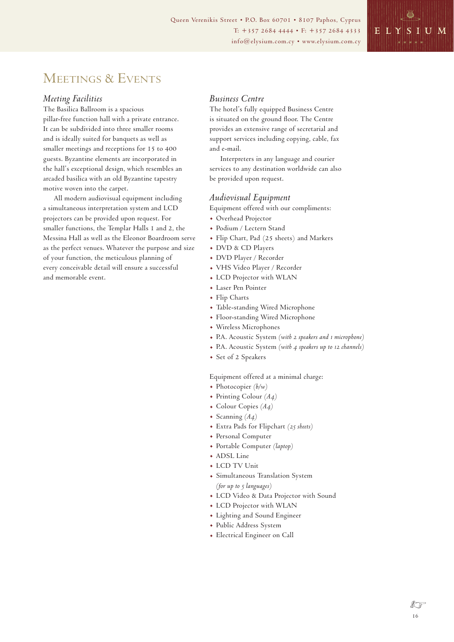# MEETINGS & EVENTS

#### *Meeting Facilities*

The Basilica Ballroom is a spacious pillar-free function hall with a private entrance. It can be subdivided into three smaller rooms and is ideally suited for banquets as well as smaller meetings and receptions for 15 to 400 guests. Byzantine elements are incorporated in the hall's exceptional design, which resembles an arcaded basilica with an old Byzantine tapestry motive woven into the carpet.

All modern audiovisual equipment including a simultaneous interpretation system and LCD projectors can be provided upon request. For smaller functions, the Templar Halls 1 and 2, the Messina Hall as well as the Eleonor Boardroom serve as the perfect venues. Whatever the purpose and size of your function, the meticulous planning of every conceivable detail will ensure a successful and memorable event.

#### *Business Centre*

The hotel's fully equipped Business Centre is situated on the ground floor. The Centre provides an extensive range of secretarial and support services including copying, cable, fax and e-mail.

Interpreters in any language and courier services to any destination worldwide can also be provided upon request.

#### *Audiovisual Equipment*

Equipment offered with our compliments:

- . Overhead Projector
- . Podium / Lectern Stand
- . Flip Chart, Pad (25 sheets) and Markers
- . DVD & CD Players
- . DVD Player / Recorder
- . VHS Video Player / Recorder
- . LCD Projector with WLAN
- . Laser Pen Pointer
- . Flip Charts
- . Table-standing Wired Microphone
- . Floor-standing Wired Microphone
- . Wireless Microphones
- . P.A. Acoustic System *(with 2 speakers and 1 microphone)*
- . P.A. Acoustic System *(with 4 speakers up to 12 channels)*
- . Set of 2 Speakers

Equipment offered at a minimal charge:

- . Photocopier *(b/w)*
- . Printing Colour *(A4)*
- . Colour Copies *(A4)*
- . Scanning *(A4)*
- . Extra Pads for Flipchart *(25 sheets)*
- . Personal Computer
- . Portable Computer *(laptop)*
- . ADSL Line
- . LCD TV Unit
- . Simultaneous Translation System
- *(for up to 5 languages)*
- . LCD Video & Data Projector with Sound . LCD Projector with WLAN
- . Lighting and Sound Engineer
- . Public Address System
- . Electrical Engineer on Call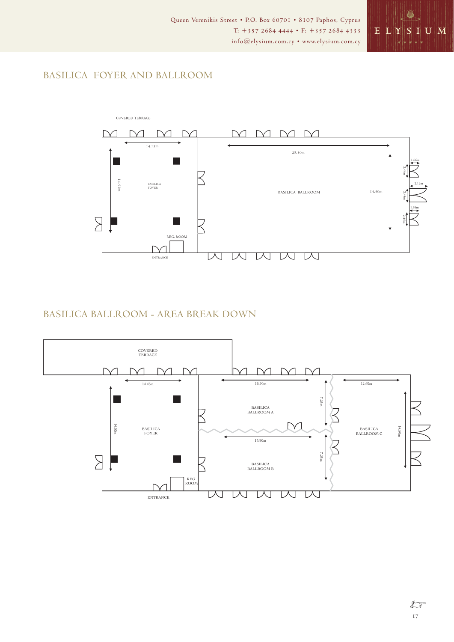

# BASILICA FOYER AND BALLROOM



### BASILICA BALLROOM - AREA BREAK DOWN



 $\sqrt[3]{3}$ 17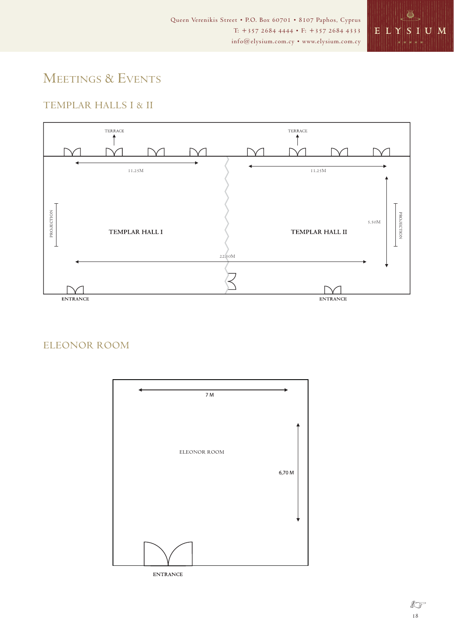

# MEETINGS & EVENTS

## TEMPLAR HALLS I & II



### ELEONOR ROOM

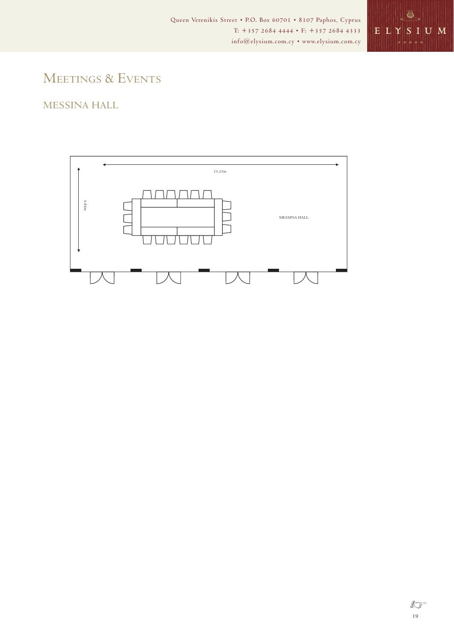

# MEETINGS & EVENTS

## MESSINA HALL